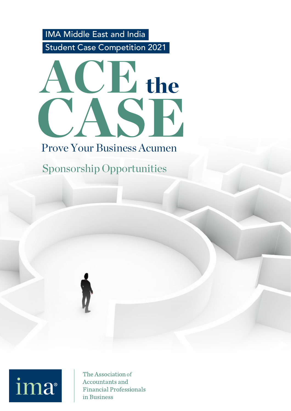Student Case Competition 2021 IMA Middle East and India



### Prove Your Business Acumen

Sponsorship Opportunities



The Association of **Accountants and Financial Professionals** in Business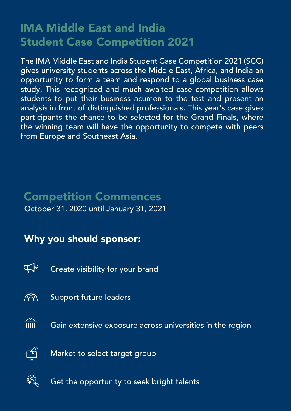### IMA Middle East and India Student Case Competition 2021

The IMA Middle East and India Student Case Competition 2021 (SCC) gives university students across the Middle East, Africa, and India an opportunity to form a team and respond to a global business case study. This recognized and much awaited case competition allows students to put their business acumen to the test and present an analysis in front of distinguished professionals. This year's case gives participants the chance to be selected for the Grand Finals, where the winning team will have the opportunity to compete with peers from Europe and Southeast Asia.

#### Competition Commences October 31, 2020 until January 31, 2021

### Why you should sponsor:



Create visibility for your brand



Support future leaders



Gain extensive exposure across universities in the region



Market to select target group



Get the opportunity to seek bright talents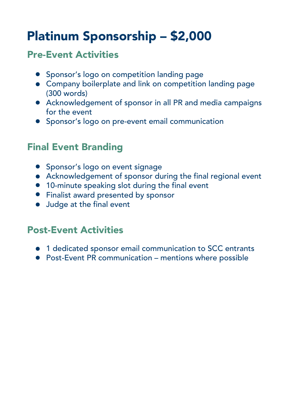# Platinum Sponsorship – \$2,000

#### Pre-Event Activities

- **•** Sponsor's logo on competition landing page
- Company boilerplate and link on competition landing page (300 words)
- Acknowledgement of sponsor in all PR and media campaigns for the event
- **•** Sponsor's logo on pre-event email communication

#### Final Event Branding

- **•** Sponsor's logo on event signage
- Acknowledgement of sponsor during the final regional event
- 10-minute speaking slot during the final event
- **•** Finalist award presented by sponsor
- Judge at the final event

#### Post-Event Activities

- $\bullet$  1 dedicated sponsor email communication to SCC entrants
- Post-Event PR communication mentions where possible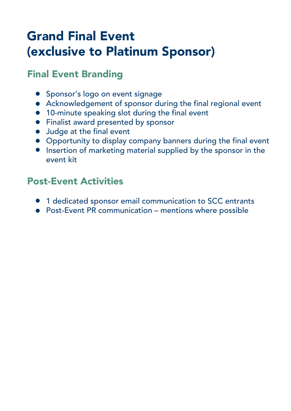### Grand Final Event (exclusive to Platinum Sponsor)

#### Final Event Branding

- **•** Sponsor's logo on event signage
- Acknowledgement of sponsor during the final regional event
- 10-minute speaking slot during the final event
- **•** Finalist award presented by sponsor
- Judge at the final event
- Opportunity to display company banners during the final event
- **•** Insertion of marketing material supplied by the sponsor in the event kit

#### Post-Event Activities

- $\bullet$  1 dedicated sponsor email communication to SCC entrants
- Post-Event PR communication mentions where possible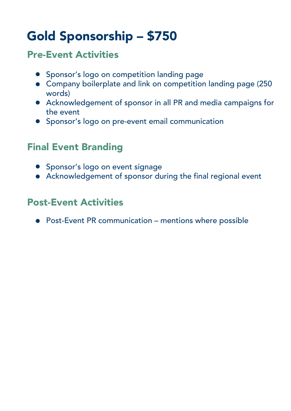# Gold Sponsorship – \$750

#### Pre-Event Activities

- Sponsor's logo on competition landing page
- Company boilerplate and link on competition landing page (250 words)
- Acknowledgement of sponsor in all PR and media campaigns for the event
- **•** Sponsor's logo on pre-event email communication

#### Final Event Branding

- Sponsor's logo on event signage
- Acknowledgement of sponsor during the final regional event

#### Post-Event Activities

● Post-Event PR communication – mentions where possible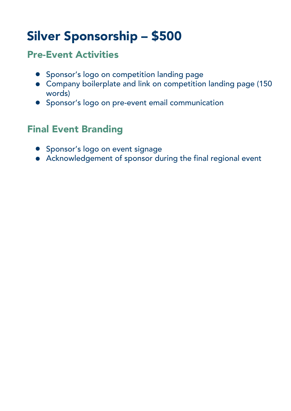## Silver Sponsorship – \$500

#### Pre-Event Activities

- **•** Sponsor's logo on competition landing page
- Company boilerplate and link on competition landing page (150 words)
- **•** Sponsor's logo on pre-event email communication

#### Final Event Branding

- **•** Sponsor's logo on event signage
- Acknowledgement of sponsor during the final regional event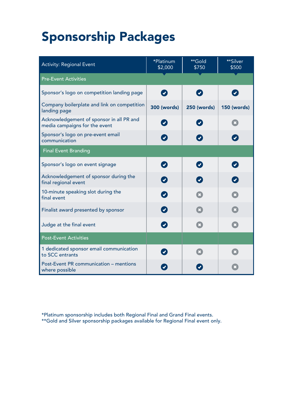# Sponsorship Packages

| <b>Activity: Regional Event</b>                                           | *Platinum<br>\$2,000       | **Gold<br>\$750          | <b>**Silver</b><br>\$500    |
|---------------------------------------------------------------------------|----------------------------|--------------------------|-----------------------------|
| <b>Pre-Event Activities</b>                                               |                            |                          |                             |
| Sponsor's logo on competition landing page                                | $\boldsymbol{\mathcal{L}}$ | $\boldsymbol{z}$         | $\left( \checkmark \right)$ |
| Company boilerplate and link on competition<br>landing page               | <b>300 (words)</b>         | <b>250 (words)</b>       | <b>150 (words)</b>          |
| Acknowledgement of sponsor in all PR and<br>media campaigns for the event |                            | $\overline{\mathcal{L}}$ |                             |
| Sponsor's logo on pre-event email<br>communication                        |                            |                          |                             |
| <b>Final Event Branding</b>                                               |                            |                          |                             |
| Sponsor's logo on event signage                                           | $\boldsymbol{\sigma}$      | $\blacktriangledown$     |                             |
| Acknowledgement of sponsor during the<br>final regional event             |                            | $\mathbf{v}$             |                             |
| 10-minute speaking slot during the<br>final event                         |                            |                          |                             |
| Finalist award presented by sponsor                                       |                            |                          |                             |
| Judge at the final event                                                  |                            |                          |                             |
| <b>Post-Event Activities</b>                                              |                            |                          |                             |
| 1 dedicated sponsor email communication<br>to SCC entrants                |                            | $\overline{\mathbf{x}}$  | $\mathbf x$                 |
| Post-Event PR communication - mentions<br>where possible                  |                            |                          |                             |

\*Platinum sponsorship includes both Regional Final and Grand Final events. \*\*Gold and Silver sponsorship packages available for Regional Final event only.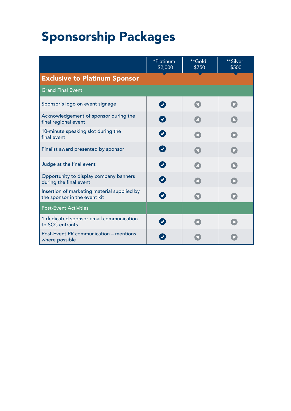# **Sponsorship Packages**

|                                                                             | *Platinum<br>\$2,000 | **Gold<br>\$750         | **Silver<br>\$500 |  |  |
|-----------------------------------------------------------------------------|----------------------|-------------------------|-------------------|--|--|
| <b>Exclusive to Platinum Sponsor</b>                                        |                      |                         |                   |  |  |
| <b>Grand Final Event</b>                                                    |                      |                         |                   |  |  |
| Sponsor's logo on event signage                                             |                      | $\mathbf{x}$            | $\mathbf{x}$      |  |  |
| Acknowledgement of sponsor during the<br>final regional event               |                      | $\overline{\mathbf{x}}$ |                   |  |  |
| 10-minute speaking slot during the<br>final event                           |                      |                         |                   |  |  |
| Finalist award presented by sponsor                                         |                      |                         |                   |  |  |
| Judge at the final event                                                    |                      |                         |                   |  |  |
| Opportunity to display company banners<br>during the final event            |                      |                         |                   |  |  |
| Insertion of marketing material supplied by<br>the sponsor in the event kit |                      | $\mathbf x$             |                   |  |  |
| <b>Post-Event Activities</b>                                                |                      |                         |                   |  |  |
| 1 dedicated sponsor email communication<br>to SCC entrants                  |                      |                         |                   |  |  |
| Post-Event PR communication - mentions<br>where possible                    |                      |                         |                   |  |  |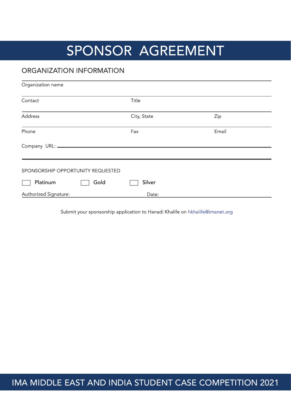## SPONSOR AGREEMENT

#### **ORGANIZATION INFORMATION**

| Organization name                 |      |             |       |
|-----------------------------------|------|-------------|-------|
| Contact                           |      | Title       |       |
| Address                           |      | City, State | Zip   |
| Phone                             |      | Fax         | Email |
| Company URL: _______              |      |             |       |
| SPONSORSHIP OPPORTUNITY REQUESTED |      |             |       |
| Platinum                          | Gold | Silver      |       |
| Authorized Signature:             |      | Date:       |       |

Submit your sponsorship application to Hanadi Khalife on hkhalife@imanet.org

IMA MIDDLE EAST AND INDIA STUDENT CASE COMPETITION 2021